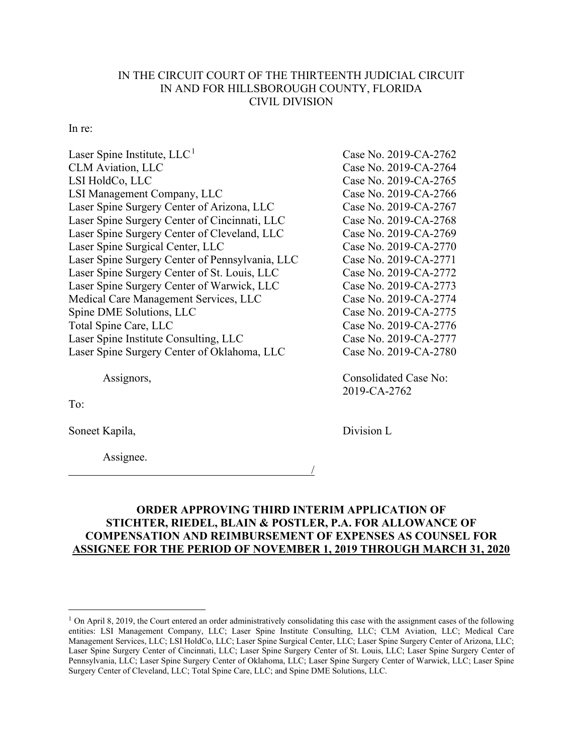## IN THE CIRCUIT COURT OF THE THIRTEENTH JUDICIAL CIRCUIT IN AND FOR HILLSBOROUGH COUNTY, FLORIDA CIVIL DIVISION

## In re:

| Laser Spine Institute, LLC <sup>1</sup>         | Case No. 2019-CA-2762 |
|-------------------------------------------------|-----------------------|
| <b>CLM</b> Aviation, LLC                        | Case No. 2019-CA-2764 |
| LSI HoldCo, LLC                                 | Case No. 2019-CA-2765 |
| LSI Management Company, LLC                     | Case No. 2019-CA-2766 |
| Laser Spine Surgery Center of Arizona, LLC      | Case No. 2019-CA-2767 |
| Laser Spine Surgery Center of Cincinnati, LLC   | Case No. 2019-CA-2768 |
| Laser Spine Surgery Center of Cleveland, LLC    | Case No. 2019-CA-2769 |
| Laser Spine Surgical Center, LLC                | Case No. 2019-CA-2770 |
| Laser Spine Surgery Center of Pennsylvania, LLC | Case No. 2019-CA-2771 |
| Laser Spine Surgery Center of St. Louis, LLC    | Case No. 2019-CA-2772 |
| Laser Spine Surgery Center of Warwick, LLC      | Case No. 2019-CA-2773 |
| Medical Care Management Services, LLC           | Case No. 2019-CA-2774 |
| Spine DME Solutions, LLC                        | Case No. 2019-CA-2775 |
| Total Spine Care, LLC                           | Case No. 2019-CA-2776 |
| Laser Spine Institute Consulting, LLC           | Case No. 2019-CA-2777 |
| Laser Spine Surgery Center of Oklahoma, LLC     | Case No. 2019-CA-2780 |
|                                                 |                       |

Assignors, Consolidated Case No:

To:

Soneet Kapila, Division L

Assignee.

2019-CA-2762

## **ORDER APPROVING THIRD INTERIM APPLICATION OF STICHTER, RIEDEL, BLAIN & POSTLER, P.A. FOR ALLOWANCE OF COMPENSATION AND REIMBURSEMENT OF EXPENSES AS COUNSEL FOR ASSIGNEE FOR THE PERIOD OF NOVEMBER 1, 2019 THROUGH MARCH 31, 2020**

/

 $1$  On April 8, 2019, the Court entered an order administratively consolidating this case with the assignment cases of the following entities: LSI Management Company, LLC; Laser Spine Institute Consulting, LLC; CLM Aviation, LLC; Medical Care Management Services, LLC; LSI HoldCo, LLC; Laser Spine Surgical Center, LLC; Laser Spine Surgery Center of Arizona, LLC; Laser Spine Surgery Center of Cincinnati, LLC; Laser Spine Surgery Center of St. Louis, LLC; Laser Spine Surgery Center of Pennsylvania, LLC; Laser Spine Surgery Center of Oklahoma, LLC; Laser Spine Surgery Center of Warwick, LLC; Laser Spine Surgery Center of Cleveland, LLC; Total Spine Care, LLC; and Spine DME Solutions, LLC.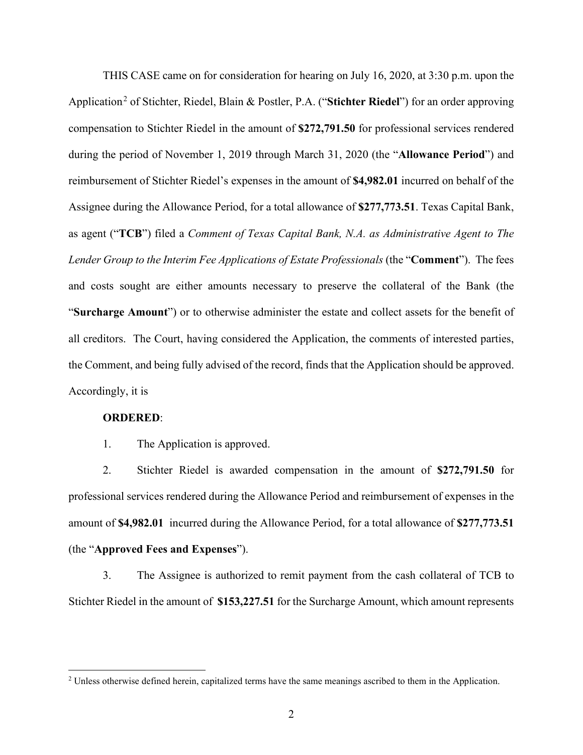THIS CASE came on for consideration for hearing on July 16, 2020, at 3:30 p.m. upon the Application<sup>2</sup> of Stichter, Riedel, Blain & Postler, P.A. ("Stichter Riedel") for an order approving compensation to Stichter Riedel in the amount of **\$272,791.50** for professional services rendered during the period of November 1, 2019 through March 31, 2020 (the "**Allowance Period**") and reimbursement of Stichter Riedel's expenses in the amount of **\$4,982.01** incurred on behalf of the Assignee during the Allowance Period, for a total allowance of **\$277,773.51**. Texas Capital Bank, as agent ("**TCB**") filed a *Comment of Texas Capital Bank, N.A. as Administrative Agent to The Lender Group to the Interim Fee Applications of Estate Professionals* (the "**Comment**"). The fees and costs sought are either amounts necessary to preserve the collateral of the Bank (the "**Surcharge Amount**") or to otherwise administer the estate and collect assets for the benefit of all creditors. The Court, having considered the Application, the comments of interested parties, the Comment, and being fully advised of the record, finds that the Application should be approved. Accordingly, it is

## **ORDERED**:

1. The Application is approved.

2. Stichter Riedel is awarded compensation in the amount of **\$272,791.50** for professional services rendered during the Allowance Period and reimbursement of expenses in the amount of **\$4,982.01** incurred during the Allowance Period, for a total allowance of **\$277,773.51** (the "**Approved Fees and Expenses**").

3. The Assignee is authorized to remit payment from the cash collateral of TCB to Stichter Riedel in the amount of **\$153,227.51** for the Surcharge Amount, which amount represents

<sup>&</sup>lt;sup>2</sup> Unless otherwise defined herein, capitalized terms have the same meanings ascribed to them in the Application.